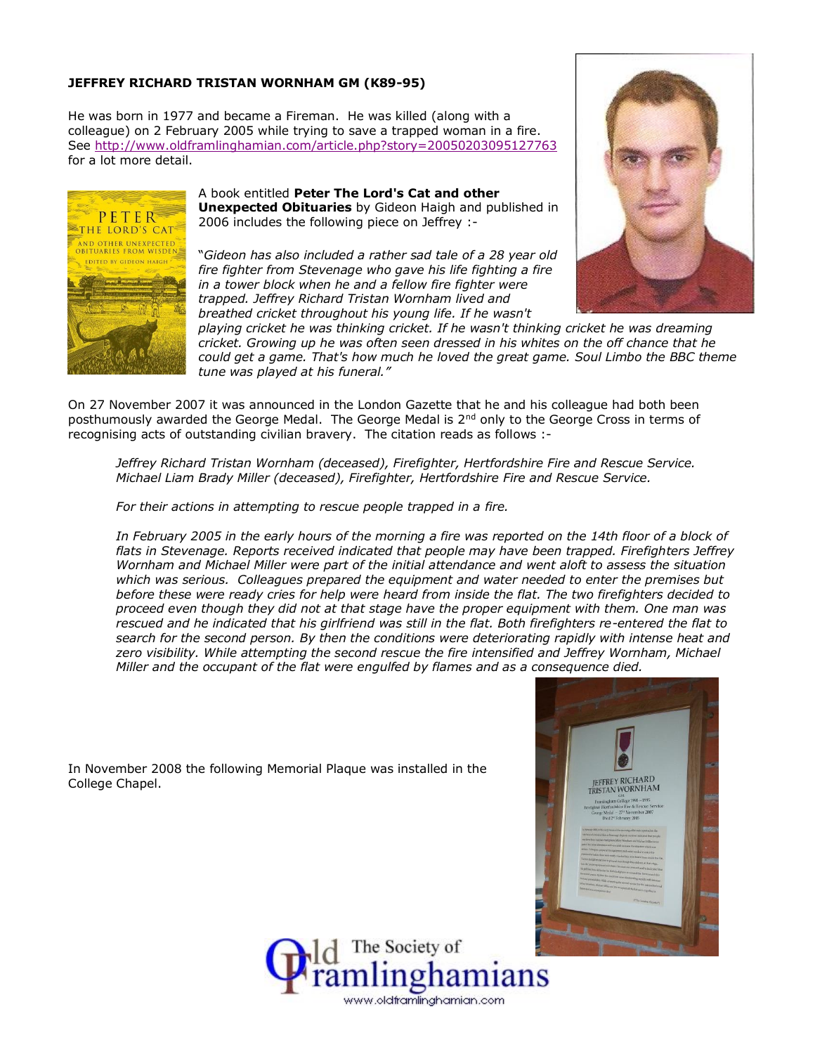## **JEFFREY RICHARD TRISTAN WORNHAM GM (K89-95)**

He was born in 1977 and became a Fireman. He was killed (along with a colleague) on 2 February 2005 while trying to save a trapped woman in a fire. See<http://www.oldframlinghamian.com/article.php?story=20050203095127763> for a lot more detail.



College Chapel.

A book entitled **Peter The Lord's Cat and other Unexpected Obituaries** by Gideon Haigh and published in 2006 includes the following piece on Jeffrey :-

"*Gideon has also included a rather sad tale of a 28 year old fire fighter from Stevenage who gave his life fighting a fire in a tower block when he and a fellow fire fighter were trapped. Jeffrey Richard Tristan Wornham lived and breathed cricket throughout his young life. If he wasn't* 



*playing cricket he was thinking cricket. If he wasn't thinking cricket he was dreaming cricket. Growing up he was often seen dressed in his whites on the off chance that he could get a game. That's how much he loved the great game. Soul Limbo the BBC theme tune was played at his funeral."*

On 27 November 2007 it was announced in the London Gazette that he and his colleague had both been posthumously awarded the George Medal. The George Medal is 2<sup>nd</sup> only to the George Cross in terms of recognising acts of outstanding civilian bravery. The citation reads as follows :-

*Jeffrey Richard Tristan Wornham (deceased), Firefighter, Hertfordshire Fire and Rescue Service. Michael Liam Brady Miller (deceased), Firefighter, Hertfordshire Fire and Rescue Service.*

*For their actions in attempting to rescue people trapped in a fire.*

In November 2008 the following Memorial Plaque was installed in the

In February 2005 in the early hours of the morning a fire was reported on the 14th floor of a block of *flats in Stevenage. Reports received indicated that people may have been trapped. Firefighters Jeffrey Wornham and Michael Miller were part of the initial attendance and went aloft to assess the situation which was serious. Colleagues prepared the equipment and water needed to enter the premises but before these were ready cries for help were heard from inside the flat. The two firefighters decided to proceed even though they did not at that stage have the proper equipment with them. One man was rescued and he indicated that his girlfriend was still in the flat. Both firefighters re-entered the flat to search for the second person. By then the conditions were deteriorating rapidly with intense heat and zero visibility. While attempting the second rescue the fire intensified and Jeffrey Wornham, Michael Miller and the occupant of the flat were engulfed by flames and as a consequence died.*